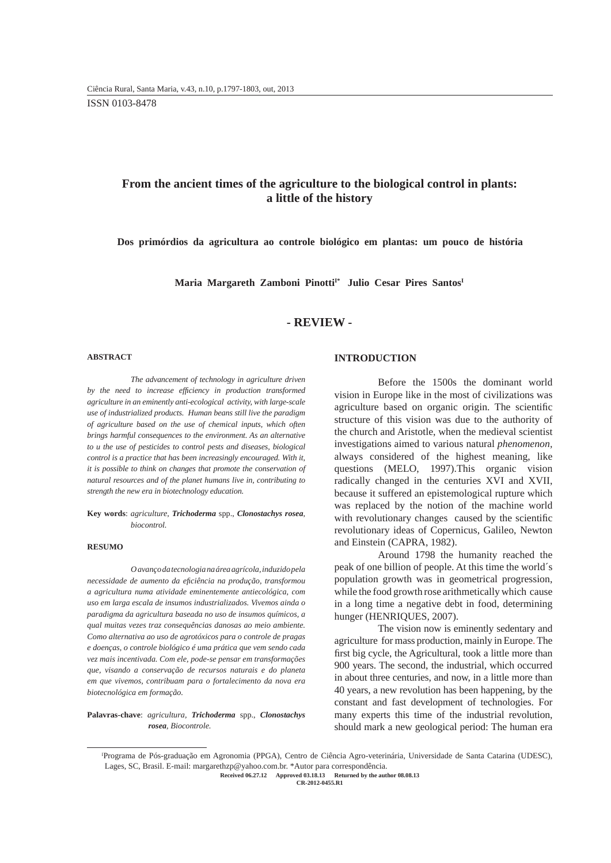# **From the ancient times of the agriculture to the biological control in plants: a little of the history**

**Dos primórdios da agricultura ao controle biológico em plantas: um pouco de história**

Maria Margareth Zamboni Pinotti<sup>1\*</sup> Julio Cesar Pires Santos<sup>I</sup>

## **- REVIEW -**

#### **ABSTRACT**

*The advancement of technology in agriculture driven*  by the need to increase efficiency in production transformed *agriculture in an eminently anti-ecological activity, with large-scale use of industrialized products. Human beans still live the paradigm of agriculture based on the use of chemical inputs, which often brings harmful consequences to the environment. As an alternative to u the use of pesticides to control pests and diseases, biological control is a practice that has been increasingly encouraged. With it, it is possible to think on changes that promote the conservation of natural resources and of the planet humans live in, contributing to strength the new era in biotechnology education.*

**Key words**: *agriculture, Trichoderma* spp., *Clonostachys rosea, biocontrol.*

### **RESUMO**

*O avanço da tecnologia na área agrícola, induzido pela necessidade de aumento da efi ciência na produção, transformou a agricultura numa atividade eminentemente antiecológica, com uso em larga escala de insumos industrializados. Vivemos ainda o paradigma da agricultura baseada no uso de insumos químicos, a qual muitas vezes traz consequências danosas ao meio ambiente. Como alternativa ao uso de agrotóxicos para o controle de pragas e doenças, o controle biológico é uma prática que vem sendo cada vez mais incentivada. Com ele, pode-se pensar em transformações que, visando a conservação de recursos naturais e do planeta em que vivemos, contribuam para o fortalecimento da nova era biotecnológica em formação.*

**Palavras-chave**: *agricultura, Trichoderma* spp., *Clonostachys rosea, Biocontrole.*

## **INTRODUCTION**

Before the 1500s the dominant world vision in Europe like in the most of civilizations was agriculture based on organic origin. The scientific structure of this vision was due to the authority of the church and Aristotle, when the medieval scientist investigations aimed to various natural *phenomenon,*  always considered of the highest meaning, like questions (MELO, 1997).This organic vision radically changed in the centuries XVI and XVII, because it suffered an epistemological rupture which was replaced by the notion of the machine world with revolutionary changes caused by the scientific revolutionary ideas of Copernicus, Galileo, Newton and Einstein (CAPRA, 1982).

Around 1798 the humanity reached the peak of one billion of people. At this time the world´s population growth was in geometrical progression, while the food growth rose arithmetically which cause in a long time a negative debt in food, determining hunger (HENRIQUES, 2007).

The vision now is eminently sedentary and agriculture for mass production, mainly in Europe. The first big cycle, the Agricultural, took a little more than 900 years. The second, the industrial, which occurred in about three centuries, and now, in a little more than 40 years, a new revolution has been happening, by the constant and fast development of technologies. For many experts this time of the industrial revolution, should mark a new geological period: The human era

**CR-2012-0455.R1**

I Programa de Pós-graduação em Agronomia (PPGA), Centro de Ciência Agro-veterinária, Universidade de Santa Catarina (UDESC), Lages, SC, Brasil. E-mail: margarethzp@yahoo.com.br. \*Autor para correspondência.

**Ciência Rural, v.43, n.10, out, 2013. Received 06.27.12 Approved 03.18.13 Returned by the author 08.08.13**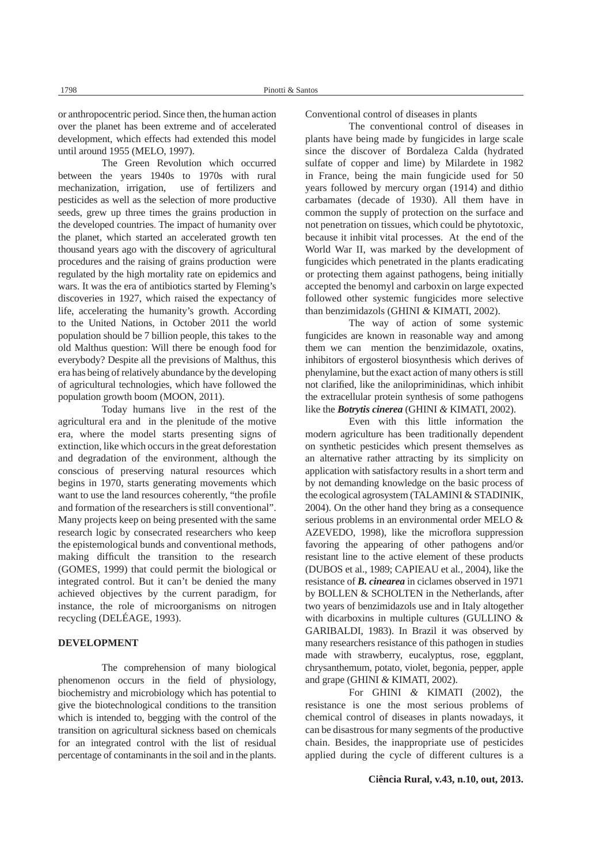or anthropocentric period. Since then, the human action over the planet has been extreme and of accelerated development, which effects had extended this model until around 1955 (MELO, 1997).

The Green Revolution which occurred between the years 1940s to 1970s with rural mechanization, irrigation, use of fertilizers and pesticides as well as the selection of more productive seeds, grew up three times the grains production in the developed countries. The impact of humanity over the planet, which started an accelerated growth ten thousand years ago with the discovery of agricultural procedures and the raising of grains production were regulated by the high mortality rate on epidemics and wars. It was the era of antibiotics started by Fleming's discoveries in 1927, which raised the expectancy of life, accelerating the humanity's growth. According to the United Nations, in October 2011 the world population should be 7 billion people, this takes to the old Malthus question: Will there be enough food for everybody? Despite all the previsions of Malthus, this era has being of relatively abundance by the developing of agricultural technologies, which have followed the population growth boom (MOON, 2011).

Today humans live in the rest of the agricultural era and in the plenitude of the motive era, where the model starts presenting signs of extinction, like which occurs in the great deforestation and degradation of the environment, although the conscious of preserving natural resources which begins in 1970, starts generating movements which want to use the land resources coherently, "the profile and formation of the researchers is still conventional". Many projects keep on being presented with the same research logic by consecrated researchers who keep the epistemological bunds and conventional methods, making difficult the transition to the research (GOMES, 1999) that could permit the biological or integrated control. But it can't be denied the many achieved objectives by the current paradigm, for instance, the role of microorganisms on nitrogen recycling (DELÉAGE, 1993).

## **DEVELOPMENT**

The comprehension of many biological phenomenon occurs in the field of physiology, biochemistry and microbiology which has potential to give the biotechnological conditions to the transition which is intended to, begging with the control of the transition on agricultural sickness based on chemicals for an integrated control with the list of residual percentage of contaminants in the soil and in the plants. Conventional control of diseases in plants

The conventional control of diseases in plants have being made by fungicides in large scale since the discover of Bordaleza Calda (hydrated sulfate of copper and lime) by Milardete in 1982 in France, being the main fungicide used for 50 years followed by mercury organ (1914) and dithio carbamates (decade of 1930). All them have in common the supply of protection on the surface and not penetration on tissues, which could be phytotoxic, because it inhibit vital processes. At the end of the World War II, was marked by the development of fungicides which penetrated in the plants eradicating or protecting them against pathogens, being initially accepted the benomyl and carboxin on large expected followed other systemic fungicides more selective than benzimidazols (GHINI *&* KIMATI, 2002).

The way of action of some systemic fungicides are known in reasonable way and among them we can mention the benzimidazole, oxatins, inhibitors of ergosterol biosynthesis which derives of phenylamine, but the exact action of many others is still not clarified, like the anilopriminidinas, which inhibit the extracellular protein synthesis of some pathogens like the *Botrytis cinerea* (GHINI *&* KIMATI, 2002).

Even with this little information the modern agriculture has been traditionally dependent on synthetic pesticides which present themselves as an alternative rather attracting by its simplicity on application with satisfactory results in a short term and by not demanding knowledge on the basic process of the ecological agrosystem (TALAMINI & STADINIK, 2004). On the other hand they bring as a consequence serious problems in an environmental order MELO & AZEVEDO, 1998), like the microflora suppression favoring the appearing of other pathogens and/or resistant line to the active element of these products (DUBOS et al., 1989; CAPIEAU et al*.,* 2004), like the resistance of *B. cinearea* in ciclames observed in 1971 by BOLLEN & SCHOLTEN in the Netherlands, after two years of benzimidazols use and in Italy altogether with dicarboxins in multiple cultures (GULLINO & GARIBALDI, 1983). In Brazil it was observed by many researchers resistance of this pathogen in studies made with strawberry, eucalyptus, rose, eggplant, chrysanthemum, potato, violet, begonia, pepper, apple and grape (GHINI *&* KIMATI, 2002).

For GHINI *&* KIMATI (2002), the resistance is one the most serious problems of chemical control of diseases in plants nowadays, it can be disastrous for many segments of the productive chain. Besides, the inappropriate use of pesticides applied during the cycle of different cultures is a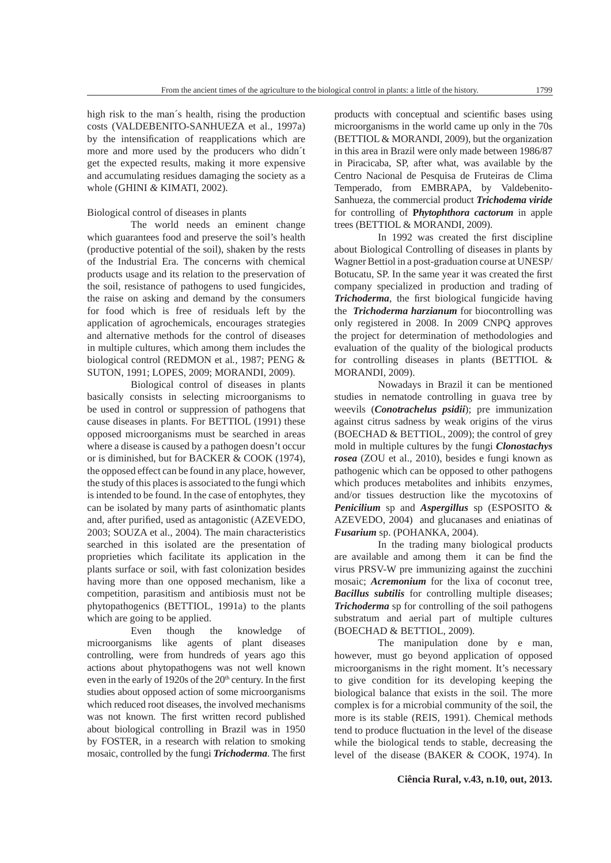high risk to the man´s health, rising the production costs (VALDEBENITO-SANHUEZA et al., 1997a) by the intensification of reapplications which are more and more used by the producers who didn´t get the expected results, making it more expensive and accumulating residues damaging the society as a whole (GHINI *&* KIMATI, 2002).

## Biological control of diseases in plants

The world needs an eminent change which guarantees food and preserve the soil's health (productive potential of the soil), shaken by the rests of the Industrial Era. The concerns with chemical products usage and its relation to the preservation of the soil, resistance of pathogens to used fungicides, the raise on asking and demand by the consumers for food which is free of residuals left by the application of agrochemicals, encourages strategies and alternative methods for the control of diseases in multiple cultures, which among them includes the biological control (REDMON et al*.,* 1987; PENG & SUTON, 1991; LOPES, 2009; MORANDI, 2009).

Biological control of diseases in plants basically consists in selecting microorganisms to be used in control or suppression of pathogens that cause diseases in plants. For BETTIOL (1991) these opposed microorganisms must be searched in areas where a disease is caused by a pathogen doesn't occur or is diminished, but for BACKER & COOK (1974), the opposed effect can be found in any place, however, the study of this places is associated to the fungi which is intended to be found. In the case of entophytes, they can be isolated by many parts of asinthomatic plants and, after purified, used as antagonistic (AZEVEDO, 2003; SOUZA et al., 2004). The main characteristics searched in this isolated are the presentation of proprieties which facilitate its application in the plants surface or soil, with fast colonization besides having more than one opposed mechanism, like a competition, parasitism and antibiosis must not be phytopathogenics (BETTIOL, 1991a) to the plants which are going to be applied.

Even though the knowledge of microorganisms like agents of plant diseases controlling, were from hundreds of years ago this actions about phytopathogens was not well known even in the early of 1920s of the 20<sup>th</sup> century. In the first studies about opposed action of some microorganisms which reduced root diseases, the involved mechanisms was not known. The first written record published about biological controlling in Brazil was in 1950 by FOSTER, in a research with relation to smoking mosaic, controlled by the fungi **Trichoderma**. The first

products with conceptual and scientific bases using microorganisms in the world came up only in the 70s (BETTIOL & MORANDI, 2009), but the organization in this area in Brazil were only made between 1986/87 in Piracicaba, SP, after what, was available by the Centro Nacional de Pesquisa de Fruteiras de Clima Temperado, from EMBRAPA, by Valdebenito-Sanhueza, the commercial product *Trichodema viride* for controlling of **P***hytophthora cactorum* in apple trees (BETTIOL & MORANDI, 2009).

In 1992 was created the first discipline about Biological Controlling of diseases in plants by Wagner Bettiol in a post-graduation course at UNESP/ Botucatu, SP. In the same year it was created the first company specialized in production and trading of *Trichoderma*, the first biological fungicide having the *Trichoderma harzianum* for biocontrolling was only registered in 2008. In 2009 CNPQ approves the project for determination of methodologies and evaluation of the quality of the biological products for controlling diseases in plants (BETTIOL & MORANDI, 2009).

Nowadays in Brazil it can be mentioned studies in nematode controlling in guava tree by weevils (*Conotrachelus psidii*); pre immunization against citrus sadness by weak origins of the virus (BOECHAD & BETTIOL, 2009); the control of grey mold in multiple cultures by the fungi *Clonostachys rosea* (ZOU et al., 2010), besides e fungi known as pathogenic which can be opposed to other pathogens which produces metabolites and inhibits enzymes, and/or tissues destruction like the mycotoxins of *Penicilium* sp and *Aspergillus* sp (ESPOSITO & AZEVEDO, 2004) and glucanases and eniatinas of *Fusarium* sp. (POHANKA, 2004).

In the trading many biological products are available and among them it can be find the virus PRSV-W pre immunizing against the zucchini mosaic; *Acremonium* for the lixa of coconut tree, *Bacillus subtilis* for controlling multiple diseases; *Trichoderma* sp for controlling of the soil pathogens substratum and aerial part of multiple cultures (BOECHAD & BETTIOL, 2009).

The manipulation done by e man, however, must go beyond application of opposed microorganisms in the right moment. It's necessary to give condition for its developing keeping the biological balance that exists in the soil. The more complex is for a microbial community of the soil, the more is its stable (REIS, 1991). Chemical methods tend to produce fluctuation in the level of the disease while the biological tends to stable, decreasing the level of the disease (BAKER & COOK, 1974). In

#### **Ciência Rural, v.43, n.10, out, 2013.**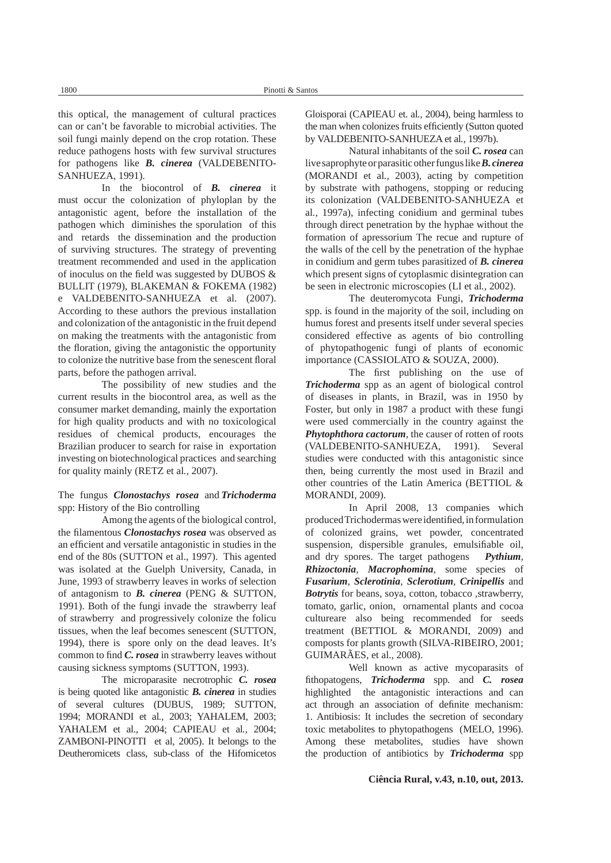this optical, the management of cultural practices can or can't be favorable to microbial activities. The soil fungi mainly depend on the crop rotation. These reduce pathogens hosts with few survival structures for pathogens like *B. cinerea* (VALDEBENITO-SANHUEZA, 1991).

In the biocontrol of *B. cinerea* it must occur the colonization of phyloplan by the antagonistic agent, before the installation of the pathogen which diminishes the sporulation of this and retards the dissemination and the production of surviving structures. The strategy of preventing treatment recommended and used in the application of inoculus on the field was suggested by DUBOS  $\&$ BULLIT (1979), BLAKEMAN & FOKEMA (1982) e VALDEBENITO-SANHUEZA et al. (2007). According to these authors the previous installation and colonization of the antagonistic in the fruit depend on making the treatments with the antagonistic from the floration, giving the antagonistic the opportunity to colonize the nutritive base from the senescent floral parts, before the pathogen arrival.

The possibility of new studies and the current results in the biocontrol area, as well as the consumer market demanding, mainly the exportation for high quality products and with no toxicological residues of chemical products, encourages the Brazilian producer to search for raise in exportation investing on biotechnological practices and searching for quality mainly (RETZ et al*.,* 2007).

## The fungus *Clonostachys rosea* and *Trichoderma* spp: History of the Bio controlling

Among the agents of the biological control, the filamentous *Clonostachys rosea* was observed as an efficient and versatile antagonistic in studies in the end of the 80s (SUTTON et al., 1997). This agented was isolated at the Guelph University, Canada, in June, 1993 of strawberry leaves in works of selection of antagonism to *B. cinerea* (PENG & SUTTON, 1991). Both of the fungi invade the strawberry leaf of strawberry and progressively colonize the folicu tissues, when the leaf becomes senescent (SUTTON, 1994), there is spore only on the dead leaves. It's common to find *C. rosea* in strawberry leaves without causing sickness symptoms (SUTTON, 1993).

The microparasite necrotrophic *C. rosea* is being quoted like antagonistic *B. cinerea* in studies of several cultures (DUBUS, 1989; SUTTON, 1994; MORANDI et al*.,* 2003; YAHALEM, 2003; YAHALEM et al., 2004; CAPIEAU et al*.,* 2004; ZAMBONI-PINOTTI et al, 2005). It belongs to the Deutheromicets class, sub-class of the Hifomicetos Gloisporai (CAPIEAU et. al*.,* 2004), being harmless to the man when colonizes fruits efficiently (Sutton quoted by VALDEBENITO-SANHUEZA et al*.*, 1997b).

Natural inhabitants of the soil *C. rosea* can live saprophyte or parasitic other fungus like*B. cinerea* (MORANDI et al*.,* 2003), acting by competition by substrate with pathogens, stopping or reducing its colonization (VALDEBENITO-SANHUEZA et al*.*, 1997a), infecting conidium and germinal tubes through direct penetration by the hyphae without the formation of apressorium The recue and rupture of the walls of the cell by the penetration of the hyphae in conidium and germ tubes parasitized of *B. cinerea* which present signs of cytoplasmic disintegration can be seen in electronic microscopies (LI et al*.,* 2002).

The deuteromycota Fungi, *Trichoderma* spp. is found in the majority of the soil, including on humus forest and presents itself under several species considered effective as agents of bio controlling of phytopathogenic fungi of plants of economic importance (CASSIOLATO & SOUZA, 2000).

The first publishing on the use of *Trichoderma* spp as an agent of biological control of diseases in plants, in Brazil, was in 1950 by Foster, but only in 1987 a product with these fungi were used commercially in the country against the *Phytophthora cactorum,* the causer of rotten of roots (VALDEBENITO-SANHUEZA, 1991). Several studies were conducted with this antagonistic since then, being currently the most used in Brazil and other countries of the Latin America (BETTIOL & MORANDI, 2009).

In April 2008, 13 companies which produced Trichodermas were identified, in formulation of colonized grains, wet powder, concentrated suspension, dispersible granules, emulsifiable oil, and dry spores. The target pathogens *Pythium, Rhizoctonia, Macrophomina,* some species of *Fusarium, Sclerotinia, Sclerotium, Crinipellis* and *Botrytis* for beans, soya, cotton, tobacco ,strawberry, tomato, garlic, onion, ornamental plants and cocoa cultureare also being recommended for seeds treatment (BETTIOL & MORANDI, 2009) and composts for plants growth (SILVA-RIBEIRO, 2001; GUIMARÃES, et al., 2008).

Well known as active mycoparasits of fi thopatogens, *Trichoderma* spp*.* and *C. rosea* highlighted the antagonistic interactions and can act through an association of definite mechanism: 1. Antibiosis: It includes the secretion of secondary toxic metabolites to phytopathogens (MELO, 1996). Among these metabolites, studies have shown the production of antibiotics by *Trichoderma* spp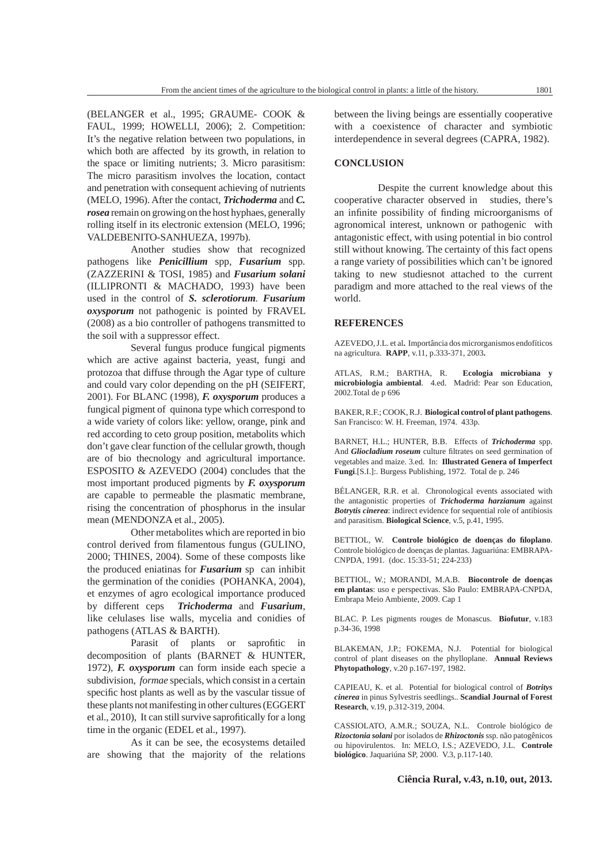(BELANGER et al., 1995; GRAUME- COOK & FAUL, 1999; HOWELLI, 2006); 2. Competition: It's the negative relation between two populations, in which both are affected by its growth, in relation to the space or limiting nutrients; 3. Micro parasitism: The micro parasitism involves the location, contact and penetration with consequent achieving of nutrients (MELO, 1996). After the contact, *Trichoderma* and *C. rosea* remain on growing on the host hyphaes, generally rolling itself in its electronic extension (MELO, 1996; VALDEBENITO-SANHUEZA, 1997b).

Another studies show that recognized pathogens like *Penicillium* spp, *Fusarium* spp*.* (ZAZZERINI & TOSI, 1985) and *Fusarium solani* (ILLIPRONTI & MACHADO, 1993) have been used in the control of *S. sclerotiorum. Fusarium oxysporum* not pathogenic is pointed by FRAVEL (2008) as a bio controller of pathogens transmitted to the soil with a suppressor effect.

Several fungus produce fungical pigments which are active against bacteria, yeast, fungi and protozoa that diffuse through the Agar type of culture and could vary color depending on the pH (SEIFERT, 2001). For BLANC (1998), *F. oxysporum* produces a fungical pigment of quinona type which correspond to a wide variety of colors like: yellow, orange, pink and red according to ceto group position, metabolits which don't gave clear function of the cellular growth, though are of bio thecnology and agricultural importance. ESPOSITO & AZEVEDO (2004) concludes that the most important produced pigments by *F. oxysporum* are capable to permeable the plasmatic membrane, rising the concentration of phosphorus in the insular mean (MENDONZA et al., 2005).

Other metabolites which are reported in bio control derived from filamentous fungus (GULINO, 2000; THINES, 2004). Some of these composts like the produced eniatinas for *Fusarium* sp can inhibit the germination of the conidies (POHANKA, 2004), et enzymes of agro ecological importance produced by different ceps *Trichoderma* and *Fusarium*, like celulases lise walls, mycelia and conidies of pathogens (ATLAS & BARTH).

Parasit of plants or saprofitic in decomposition of plants (BARNET & HUNTER, 1972), *F. oxysporum* can form inside each specie a subdivision, *formae* specials*,* which consist in a certain specific host plants as well as by the vascular tissue of these plants not manifesting in other cultures (EGGERT et al., 2010), It can still survive saprofitically for a long time in the organic (EDEL et al., 1997).

As it can be see, the ecosystems detailed are showing that the majority of the relations between the living beings are essentially cooperative with a coexistence of character and symbiotic interdependence in several degrees (CAPRA, 1982).

## **CONCLUSION**

Despite the current knowledge about this cooperative character observed in studies, there's an infinite possibility of finding microorganisms of agronomical interest, unknown or pathogenic with antagonistic effect, with using potential in bio control still without knowing. The certainty of this fact opens a range variety of possibilities which can't be ignored taking to new studiesnot attached to the current paradigm and more attached to the real views of the world.

### **REFERENCES**

AZEVEDO, J.L. et al**.** Importância dos microrganismos endofíticos na agricultura. **RAPP**, v.11, p.333-371, 2003**.** 

ATLAS, R.M.; BARTHA, R. **Ecologia microbiana y microbiologia ambiental**. 4.ed. Madrid: Pear son Education, 2002.Total de p 696

BAKER, R.F.; COOK, R.J. **Biological control of plant pathogens**. San Francisco: W. H. Freeman, 1974. 433p.

BARNET, H.L.; HUNTER, B.B. Effects of *Trichoderma* spp. And *Gliocladium roseum* culture filtrates on seed germination of vegetables and maize. 3.ed. In: **Illustrated Genera of Imperfect Fungi**.[S.I.]:. Burgess Publishing, 1972. Total de p. 246

BÉLANGER, R.R. et al. Chronological events associated with the antagonistic properties of *Trichoderma harzianum* against *Botrytis cinerea*: indirect evidence for sequential role of antibiosis and parasitism. **Biological Science**, v.5, p.41, 1995.

BETTIOL, W. **Controle biológico de doenças do fi loplano**. Controle biológico de doenças de plantas. Jaguariúna: EMBRAPA-CNPDA, 1991. (doc. 15:33-51; 224-233)

BETTIOL, W.; MORANDI, M.A.B. **Biocontrole de doenças em plantas**: uso e perspectivas. São Paulo: EMBRAPA-CNPDA, Embrapa Meio Ambiente, 2009. Cap 1

BLAC. P. Les pigments rouges de Monascus. **Biofutur**, v.183 p.34-36, 1998

BLAKEMAN, J.P.; FOKEMA, N.J. Potential for biological control of plant diseases on the phylloplane. **Annual Reviews Phytopathology**, v.20 p.167-197, 1982.

CAPIEAU, K. et al. Potential for biological control of *Botritys cinerea* in pinus Sylvestris seedlings.. **Scandial Journal of Forest Research**, v.19, p.312-319, 2004.

CASSIOLATO, A.M.R.; SOUZA, N.L. Controle biológico de *Rizoctonia solani* por isolados de *Rhizoctonis* ssp. não patogênicos ou hipovirulentos. In: MELO, I.S.; AZEVEDO, J.L. **Controle biológico**. Jaquariúna SP, 2000. V.3, p.117-140.

#### **Ciência Rural, v.43, n.10, out, 2013.**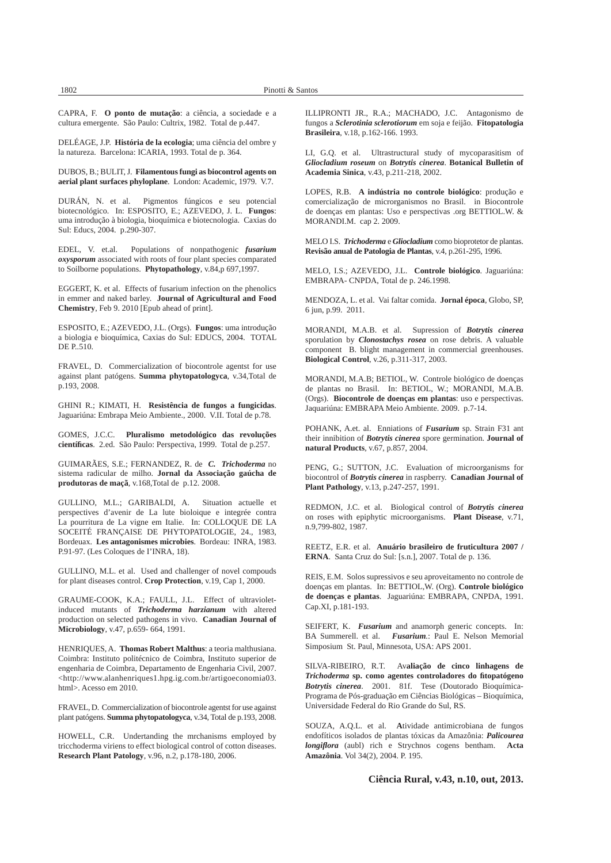CAPRA, F. **O ponto de mutação**: a ciência, a sociedade e a cultura emergente. São Paulo: Cultrix, 1982. Total de p.447.

DELÉAGE, J.P. **História de la ecologia**; uma ciência del ombre y la natureza.Barcelona: ICARIA, 1993. Total de p. 364.

DUBOS, B.; BULIT, J. **Filamentous fungi as biocontrol agents on aerial plant surfaces phyloplane**. London: Academic, 1979. V.7.

DURÁN, N. et al. Pigmentos fúngicos e seu potencial biotecnológico. In: ESPOSITO, E.; AZEVEDO, J. L. **Fungos**: uma introdução à biologia, bioquímica e biotecnologia. Caxias do Sul: Educs, 2004. p.290-307.

EDEL, V. et.al. Populations of nonpathogenic *fusarium oxysporum* associated with roots of four plant species comparated to Soilborne populations. **Phytopathology**, v.84,p 697,1997.

EGGERT, K. et al. Effects of fusarium infection on the phenolics in emmer and naked barley. **Journal of Agricultural and Food Chemistry**, Feb 9. 2010 [Epub ahead of print].

ESPOSITO, E.; AZEVEDO, J.L. (Orgs). **Fungos**: uma introdução a biologia e bioquímica, Caxias do Sul: EDUCS, 2004. TOTAL DE P..510.

FRAVEL, D. Commercialization of biocontrole agentst for use against plant patógens. **Summa phytopatologyca**, v.34,Total de p.193, 2008.

GHINI R.; KIMATI, H. **Resistência de fungos a fungicidas**. Jaguariúna: Embrapa Meio Ambiente., 2000. V.II. Total de p.78.

GOMES, J.C.C. **Pluralismo metodológico das revoluções científi cas**. 2.ed. São Paulo: Perspectiva, 1999. Total de p.257.

GUIMARÃES, S.E.; FERNANDEZ, R. de *C. Trichoderma* no sistema radicular de milho. **Jornal da Associação gaúcha de produtoras de maçã**, v.168,Total de p.12. 2008.

GULLINO, M.L.; GARIBALDI, A. Situation actuelle et perspectives d'avenir de La lute bioloique e integrée contra La pourritura de La vigne em Italie. In: COLLOQUE DE LA SOCEITÉ FRANÇAISE DE PHYTOPATOLOGIE, 24., 1983, Bordeuax. **Les antagonismes microbies**. Bordeau: INRA, 1983. P.91-97. (Les Coloques de I'INRA, 18).

GULLINO, M.L. et al. Used and challenger of novel compouds for plant diseases control. **Crop Protection**, v.19, Cap 1, 2000.

GRAUME-COOK, K.A.; FAULL, J.L. Effect of ultravioletinduced mutants of *Trichoderma harzianum* with altered production on selected pathogens in vivo. **Canadian Journal of Microbiology**, v.47, p.659- 664, 1991.

HENRIQUES, A. **Thomas Robert Malthus**: a teoria malthusiana. Coimbra: Instituto politécnico de Coimbra, Instituto superior de engenharia de Coimbra, Departamento de Engenharia Civil, 2007. <http://www.alanhenriques1.hpg.ig.com.br/artigoeconomia03. html>. Acesso em 2010.

FRAVEL, D. Commercialization of biocontrole agentst for use against plant patógens. **Summa phytopatologyca**, v.34, Total de p.193, 2008.

HOWELL, C.R. Undertanding the mrchanisms employed by tricchoderma viriens to effect biological control of cotton diseases. **Research Plant Patology**, v.96, n.2, p.178-180, 2006.

ILLIPRONTI JR., R.A.; MACHADO, J.C. Antagonismo de fungos a *Sclerotinia sclerotiorum* em soja e feijão. **Fitopatologia Brasileira**, v.18, p.162-166. 1993.

LI, G.Q. et al. Ultrastructural study of mycoparasitism of *Gliocladium roseum* on *Botrytis cinerea*. **Botanical Bulletin of Academia Sinica**, v.43, p.211-218, 2002.

LOPES, R.B. **A indústria no controle biológico**: produção e comercialização de microrganismos no Brasil. in Biocontrole de doenças em plantas: Uso e perspectivas .org BETTIOL.W. & MORANDI.M. cap 2. 2009.

MELO I.S. *Trichoderma* e *Gliocladium* como bioprotetor de plantas. **Revisão anual de Patologia de Plantas**, v.4, p.261-295, 1996.

MELO, I.S.; AZEVEDO, J.L. **Controle biológico**. Jaguariúna: EMBRAPA- CNPDA, Total de p. 246.1998.

MENDOZA, L. et al. Vai faltar comida. **Jornal época**, Globo, SP, 6 jun, p.99. 2011.

MORANDI, M.A.B. et al. Supression of *Botrytis cinerea* sporulation by *Clonostachys rosea* on rose debris. A valuable component B. blight management in commercial greenhouses. **Biological Control**, v.26, p.311-317, 2003.

MORANDI, M.A.B; BETIOL, W. Controle biológico de doenças de plantas no Brasil. In: BETIOL, W.; MORANDI, M.A.B. (Orgs). **Biocontrole de doenças em plantas**: uso e perspectivas. Jaquariúna: EMBRAPA Meio Ambiente. 2009. p.7-14.

POHANK, A.et. al. Enniations of *Fusarium* sp. Strain F31 ant their innibition of *Botrytis cinerea* spore germination. **Journal of natural Products**, v.67, p.857, 2004.

PENG, G.; SUTTON, J.C. Evaluation of microorganisms for biocontrol of *Botrytis cinerea* in raspberry. **Canadian Journal of Plant Pathology**, v.13, p.247-257, 1991.

REDMON, J.C. et al. Biological control of *Botrytis cinerea*  on roses with epiphytic microorganisms. **Plant Disease**, v.71, n.9,799-802, 1987.

REETZ, E.R. et al. **Anuário brasileiro de fruticultura 2007 / ERNA**.Santa Cruz do Sul: [s.n.], 2007. Total de p. 136.

REIS, E.M. Solos supressivos e seu aproveitamento no controle de doenças em plantas.In: BETTIOL,W. (Org). **Controle biológico de doenças e plantas**. Jaguariúna: EMBRAPA, CNPDA, 1991. Cap.XI, p.181-193.

SEIFERT, K. **Fusarium** and anamorph generic concepts. In: BA Summerell. et al. *Fusarium.*: Paul E. Nelson Memorial Simposium St. Paul, Minnesota, USA: APS 2001.

SILVA-RIBEIRO, R.T. Av**aliação de cinco linhagens de**  *Trichoderma* **sp. como agentes controladores do fi topatógeno** *Botrytis cinerea*. 2001. 81f. Tese (Doutorado Bioquímica-Programa de Pós-graduação em Ciências Biológicas – Bioquímica, Universidade Federal do Rio Grande do Sul, RS.

SOUZA, A.Q.L. et al. **A**tividade antimicrobiana de fungos endofíticos isolados de plantas tóxicas da Amazônia: *Palicourea longifl ora* (aubl) rich e Strychnos cogens bentham. **Acta Amazônia**. Vol 34(2), 2004. P. 195.

**Ciência Rural, v.43, n.10, out, 2013.**